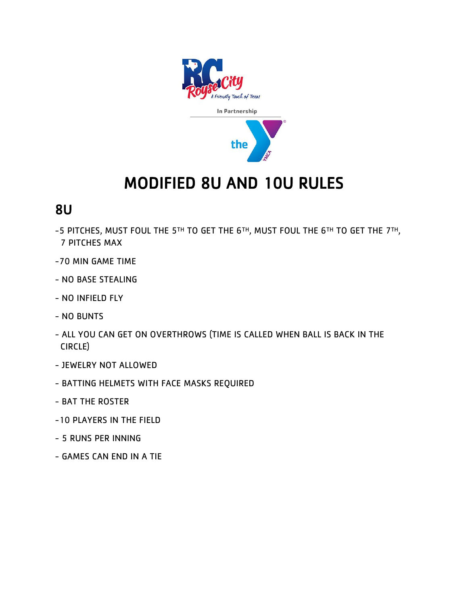

## MODIFIED 8U AND 10U RULES

## 8U

- -5 PITCHES, MUST FOUL THE 5TH TO GET THE 6TH, MUST FOUL THE 6TH TO GET THE 7TH, 7 PITCHES MAX
- -70 MIN GAME TIME
- NO BASE STEALING
- NO INFIELD FLY
- NO BUNTS
- ALL YOU CAN GET ON OVERTHROWS (TIME IS CALLED WHEN BALL IS BACK IN THE CIRCLE)
- JEWELRY NOT ALLOWED
- BATTING HELMETS WITH FACE MASKS REQUIRED
- BAT THE ROSTER
- -10 PLAYERS IN THE FIELD
- 5 RUNS PER INNING
- GAMES CAN END IN A TIE